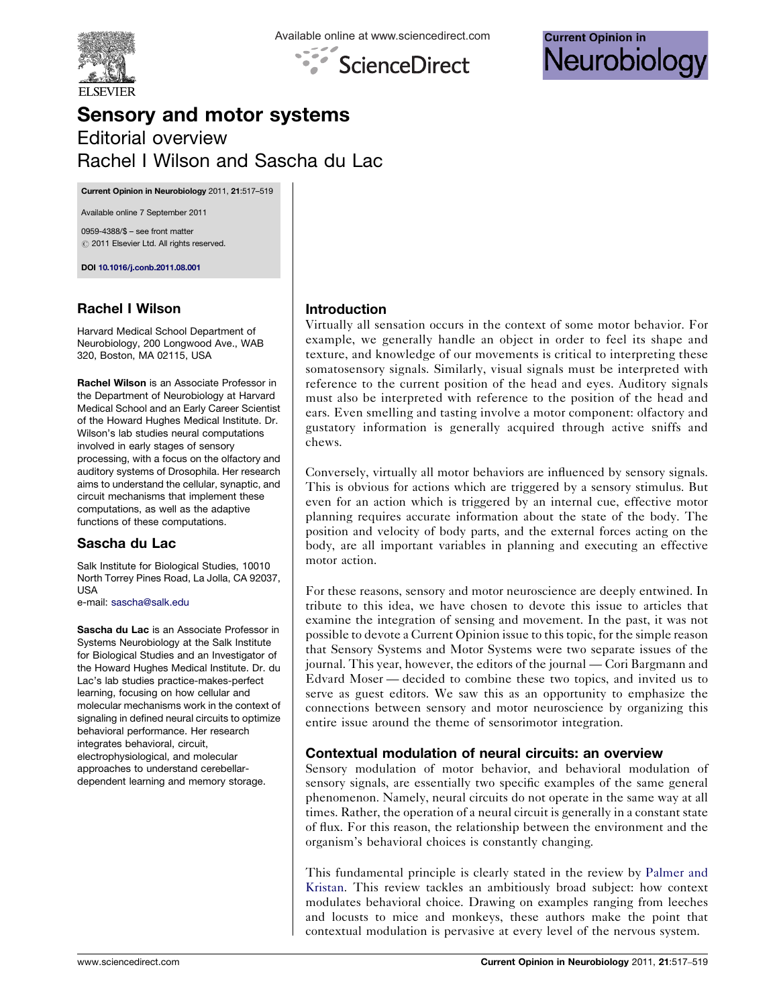

Available online at www.sciencedirect.com





# Sensory and motor systems

Editorial overview Rachel I Wilson and Sascha du Lac

Current Opinion in Neurobiology 2011, 21:517–519

Available online 7 September 2011

0959-4388/\$ – see front matter  $\odot$  2011 Elsevier Ltd. All rights reserved.

DOI [10.1016/j.conb.2011.08.001](http://dx.doi.org/10.1016/j.conb.2011.08.001)

# Rachel I Wilson

Harvard Medical School Department of Neurobiology, 200 Longwood Ave., WAB 320, Boston, MA 02115, USA

Rachel Wilson is an Associate Professor in the Department of Neurobiology at Harvard Medical School and an Early Career Scientist of the Howard Hughes Medical Institute. Dr. Wilson's lab studies neural computations involved in early stages of sensory processing, with a focus on the olfactory and auditory systems of Drosophila. Her research aims to understand the cellular, synaptic, and circuit mechanisms that implement these computations, as well as the adaptive functions of these computations.

# Sascha du Lac

Salk Institute for Biological Studies, 10010 North Torrey Pines Road, La Jolla, CA 92037, USA e-mail: [sascha@salk.edu](mailto:sascha@salk.edu)

Sascha du Lac is an Associate Professor in Systems Neurobiology at the Salk Institute for Biological Studies and an Investigator of the Howard Hughes Medical Institute. Dr. du Lac's lab studies practice-makes-perfect learning, focusing on how cellular and molecular mechanisms work in the context of signaling in defined neural circuits to optimize behavioral performance. Her research integrates behavioral, circuit, electrophysiological, and molecular approaches to understand cerebellardependent learning and memory storage.

# Introduction

Virtually all sensation occurs in the context of some motor behavior. For example, we generally handle an object in order to feel its shape and texture, and knowledge of our movements is critical to interpreting these somatosensory signals. Similarly, visual signals must be interpreted with reference to the current position of the head and eyes. Auditory signals must also be interpreted with reference to the position of the head and ears. Even smelling and tasting involve a motor component: olfactory and gustatory information is generally acquired through active sniffs and chews.

Conversely, virtually all motor behaviors are influenced by sensory signals. This is obvious for actions which are triggered by a sensory stimulus. But even for an action which is triggered by an internal cue, effective motor planning requires accurate information about the state of the body. The position and velocity of body parts, and the external forces acting on the body, are all important variables in planning and executing an effective motor action.

For these reasons, sensory and motor neuroscience are deeply entwined. In tribute to this idea, we have chosen to devote this issue to articles that examine the integration of sensing and movement. In the past, it was not possible to devote a Current Opinion issue to thistopic, for the simple reason that Sensory Systems and Motor Systems were two separate issues of the journal. This year, however, the editors of the journal — Cori Bargmann and Edvard Moser — decided to combine these two topics, and invited us to serve as guest editors. We saw this as an opportunity to emphasize the connections between sensory and motor neuroscience by organizing this entire issue around the theme of sensorimotor integration.

# Contextual modulation of neural circuits: an overview

Sensory modulation of motor behavior, and behavioral modulation of sensory signals, are essentially two specific examples of the same general phenomenon. Namely, neural circuits do not operate in the same way at all times. Rather, the operation of a neural circuit is generally in a constant state of flux. For this reason, the relationship between the environment and the organism's behavioral choices is constantly changing.

This fundamental principle is clearly stated in the review by [Palmer](http://dx.doi.org/10.1016/j.conb.2011.05.003) and [Kristan](http://dx.doi.org/10.1016/j.conb.2011.05.003). This review tackles an ambitiously broad subject: how context modulates behavioral choice. Drawing on examples ranging from leeches and locusts to mice and monkeys, these authors make the point that contextual modulation is pervasive at every level of the nervous system.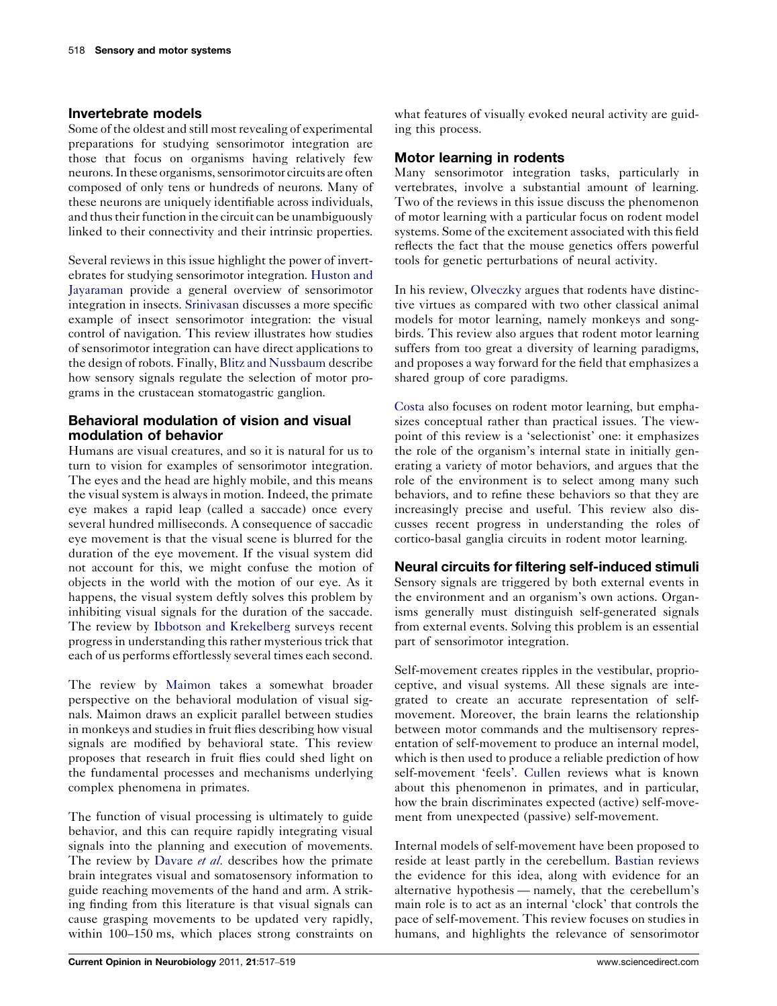#### Invertebrate models

Some of the oldest and still most revealing of experimental preparations for studying sensorimotor integration are those that focus on organisms having relatively few neurons. In these organisms, sensorimotor circuits are often composed of only tens or hundreds of neurons. Many of these neurons are uniquely identifiable across individuals, and thus their function in the circuit can be unambiguously linked to their connectivity and their intrinsic properties.

Several reviews in this issue highlight the power of invertebrates for studying sensorimotor integration. [Huston](http://dx.doi.org/10.1016/j.conb.2011.05.030) and [Jayaraman](http://dx.doi.org/10.1016/j.conb.2011.05.030) provide a general overview of sensorimotor integration in insects. [Srinivasan](http://dx.doi.org/10.1016/j.conb.2011.05.020) discusses a more specific example of insect sensorimotor integration: the visual control of navigation. This review illustrates how studies of sensorimotor integration can have direct applications to the design of robots. Finally, Blitz and [Nussbaum](http://dx.doi.org/10.1016/j.conb.2011.05.019) describe how sensory signals regulate the selection of motor programs in the crustacean stomatogastric ganglion.

#### Behavioral modulation of vision and visual modulation of behavior

Humans are visual creatures, and so it is natural for us to turn to vision for examples of sensorimotor integration. The eyes and the head are highly mobile, and this means the visual system is always in motion. Indeed, the primate eye makes a rapid leap (called a saccade) once every several hundred milliseconds. A consequence of saccadic eye movement is that the visual scene is blurred for the duration of the eye movement. If the visual system did not account for this, we might confuse the motion of objects in the world with the motion of our eye. As it happens, the visual system deftly solves this problem by inhibiting visual signals for the duration of the saccade. The review by Ibbotson and [Krekelberg](http://dx.doi.org/10.1016/j.conb.2011.05.012) surveys recent progress in understanding this rather mysterious trick that each of us performs effortlessly several times each second.

The review by [Maimon](http://dx.doi.org/10.1016/j.conb.2011.05.001) takes a somewhat broader perspective on the behavioral modulation of visual signals. Maimon draws an explicit parallel between studies in monkeys and studies in fruit flies describing how visual signals are modified by behavioral state. This review proposes that research in fruit flies could shed light on the fundamental processes and mechanisms underlying complex phenomena in primates.

The function of visual processing is ultimately to guide behavior, and this can require rapidly integrating visual signals into the planning and execution of movements. The review by [Davare](http://dx.doi.org/10.1016/j.conb.2011.05.021) *et al.* describes how the primate brain integrates visual and somatosensory information to guide reaching movements of the hand and arm. A striking finding from this literature is that visual signals can cause grasping movements to be updated very rapidly, within 100–150 ms, which places strong constraints on what features of visually evoked neural activity are guiding this process.

#### Motor learning in rodents

Many sensorimotor integration tasks, particularly in vertebrates, involve a substantial amount of learning. Two of the reviews in this issue discuss the phenomenon of motor learning with a particular focus on rodent model systems. Some of the excitement associated with this field reflects the fact that the mouse genetics offers powerful tools for genetic perturbations of neural activity.

In his review, [Olveczky](http://dx.doi.org/10.1016/j.conb.2011.05.002) argues that rodents have distinctive virtues as compared with two other classical animal models for motor learning, namely monkeys and songbirds. This review also argues that rodent motor learning suffers from too great a diversity of learning paradigms, and proposes a way forward for the field that emphasizes a shared group of core paradigms.

[Costa](http://dx.doi.org/10.1016/j.conb.2011.05.004) also focuses on rodent motor learning, but emphasizes conceptual rather than practical issues. The viewpoint of this review is a 'selectionist' one: it emphasizes the role of the organism's internal state in initially generating a variety of motor behaviors, and argues that the role of the environment is to select among many such behaviors, and to refine these behaviors so that they are increasingly precise and useful. This review also discusses recent progress in understanding the roles of cortico-basal ganglia circuits in rodent motor learning.

# Neural circuits for filtering self-induced stimuli

Sensory signals are triggered by both external events in the environment and an organism's own actions. Organisms generally must distinguish self-generated signals from external events. Solving this problem is an essential part of sensorimotor integration.

Self-movement creates ripples in the vestibular, proprioceptive, and visual systems. All these signals are integrated to create an accurate representation of selfmovement. Moreover, the brain learns the relationship between motor commands and the multisensory representation of self-movement to produce an internal model, which is then used to produce a reliable prediction of how self-movement 'feels'. [Cullen](http://dx.doi.org/10.1016/j.conb.2011.05.022) reviews what is known about this phenomenon in primates, and in particular, how the brain discriminates expected (active) self-movement from unexpected (passive) self-movement.

Internal models of self-movement have been proposed to reside at least partly in the cerebellum. [Bastian](http://dx.doi.org/10.1016/j.conb.2011.06.007) reviews the evidence for this idea, along with evidence for an alternative hypothesis — namely, that the cerebellum's main role is to act as an internal 'clock' that controls the pace of self-movement. This review focuses on studies in humans, and highlights the relevance of sensorimotor